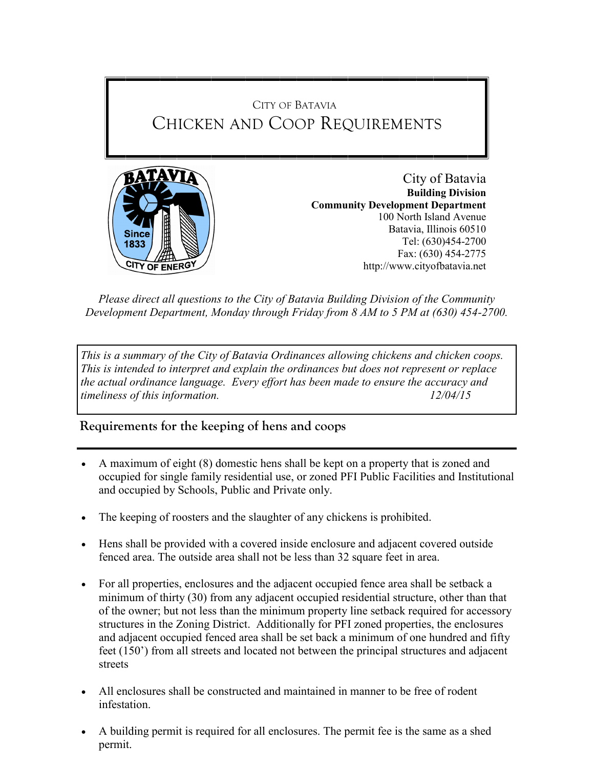# CITY OF BATAVIA CHICKEN AND COOP REQUIREMENTS



City of Batavia **Building Division Community Development Department** 100 North Island Avenue Batavia, Illinois 60510 Tel: (630)454-2700 Fax: (630) 454-2775 http://www.cityofbatavia.net

*Please direct all questions to the City of Batavia Building Division of the Community Development Department, Monday through Friday from 8 AM to 5 PM at (630) 454-2700.*

*This is a summary of the City of Batavia Ordinances allowing chickens and chicken coops. This is intended to interpret and explain the ordinances but does not represent or replace the actual ordinance language. Every effort has been made to ensure the accuracy and timeliness of this information. 12/04/15*

**Requirements for the keeping of hens and coops** 

- A maximum of eight (8) domestic hens shall be kept on a property that is zoned and occupied for single family residential use, or zoned PFI Public Facilities and Institutional and occupied by Schools, Public and Private only.
- The keeping of roosters and the slaughter of any chickens is prohibited.
- Hens shall be provided with a covered inside enclosure and adjacent covered outside fenced area. The outside area shall not be less than 32 square feet in area.
- For all properties, enclosures and the adjacent occupied fence area shall be setback a minimum of thirty (30) from any adjacent occupied residential structure, other than that of the owner; but not less than the minimum property line setback required for accessory structures in the Zoning District. Additionally for PFI zoned properties, the enclosures and adjacent occupied fenced area shall be set back a minimum of one hundred and fifty feet (150') from all streets and located not between the principal structures and adjacent streets
- All enclosures shall be constructed and maintained in manner to be free of rodent infestation.
- A building permit is required for all enclosures. The permit fee is the same as a shed permit.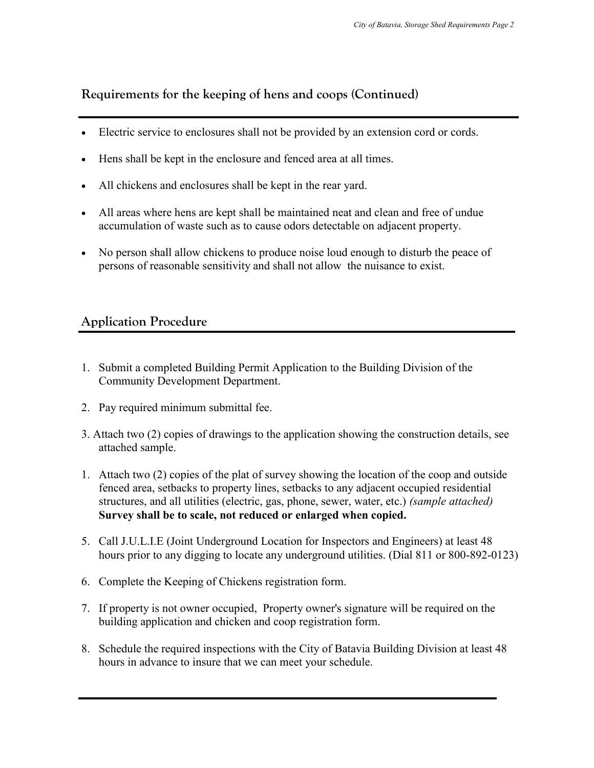### **Requirements for the keeping of hens and coops (Continued)**

- Electric service to enclosures shall not be provided by an extension cord or cords.
- Hens shall be kept in the enclosure and fenced area at all times.
- All chickens and enclosures shall be kept in the rear yard.
- All areas where hens are kept shall be maintained neat and clean and free of undue accumulation of waste such as to cause odors detectable on adjacent property.
- No person shall allow chickens to produce noise loud enough to disturb the peace of persons of reasonable sensitivity and shall not allow the nuisance to exist.

### **Application Procedure**

- 1. Submit a completed Building Permit Application to the Building Division of the Community Development Department.
- 2. Pay required minimum submittal fee.
- 3. Attach two (2) copies of drawings to the application showing the construction details, see attached sample.
- 1. Attach two (2) copies of the plat of survey showing the location of the coop and outside fenced area, setbacks to property lines, setbacks to any adjacent occupied residential structures, and all utilities (electric, gas, phone, sewer, water, etc.) *(sample attached)*  **Survey shall be to scale, not reduced or enlarged when copied.**
- 5. Call J.U.L.I.E (Joint Underground Location for Inspectors and Engineers) at least 48 hours prior to any digging to locate any underground utilities. (Dial 811 or 800-892-0123)
- 6. Complete the Keeping of Chickens registration form.
- 7. If property is not owner occupied, Property owner's signature will be required on the building application and chicken and coop registration form.
- 8. Schedule the required inspections with the City of Batavia Building Division at least 48 hours in advance to insure that we can meet your schedule.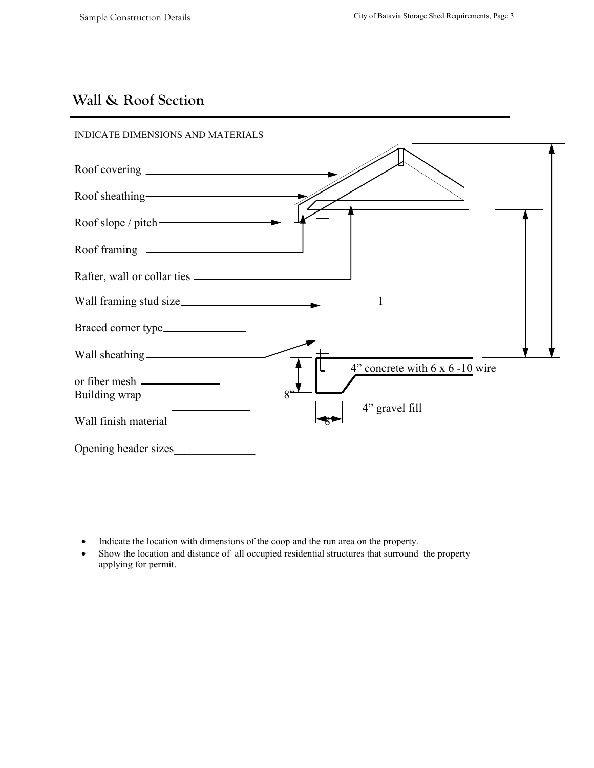## **Wall & Roof Section**



- Indicate the location with dimensions of the coop and the run area on the property.
- Show the location and distance of all occupied residential structures that surround the property applying for permit.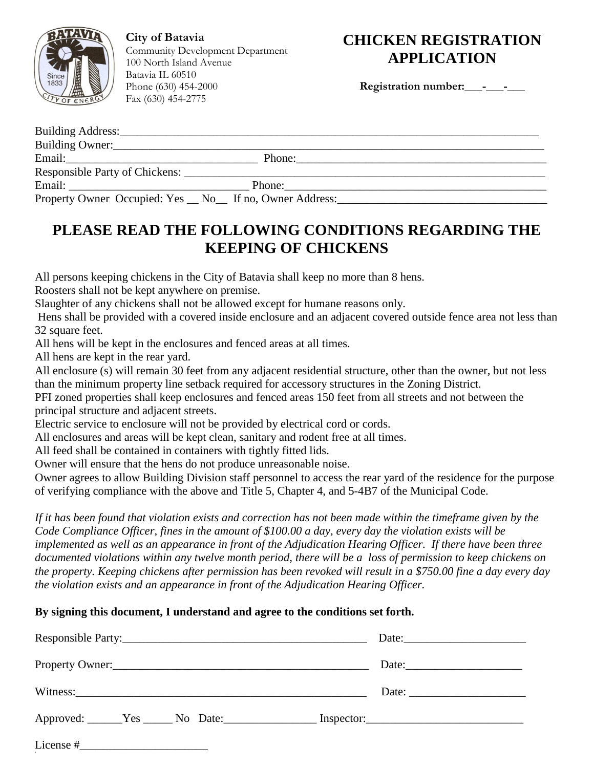

**City of Batavia** Community Development Department 100 North Island Avenue Batavia IL 60510 Phone (630) 454-2000 Fax (630) 454-2775

## **CHICKEN REGISTRATION APPLICATION**

Registration number: \_\_\_\_\_\_\_\_

| Building Owner:                                          |        |        |
|----------------------------------------------------------|--------|--------|
|                                                          |        | Phone: |
|                                                          |        |        |
|                                                          | Phone: |        |
| Property Owner Occupied: Yes _ No_ If no, Owner Address: |        |        |

## **PLEASE READ THE FOLLOWING CONDITIONS REGARDING THE KEEPING OF CHICKENS**

All persons keeping chickens in the City of Batavia shall keep no more than 8 hens.

Roosters shall not be kept anywhere on premise.

Slaughter of any chickens shall not be allowed except for humane reasons only.

Hens shall be provided with a covered inside enclosure and an adjacent covered outside fence area not less than 32 square feet.

All hens will be kept in the enclosures and fenced areas at all times.

All hens are kept in the rear yard.

All enclosure (s) will remain 30 feet from any adjacent residential structure, other than the owner, but not less than the minimum property line setback required for accessory structures in the Zoning District.

PFI zoned properties shall keep enclosures and fenced areas 150 feet from all streets and not between the principal structure and adjacent streets.

Electric service to enclosure will not be provided by electrical cord or cords.

All enclosures and areas will be kept clean, sanitary and rodent free at all times.

All feed shall be contained in containers with tightly fitted lids.

Owner will ensure that the hens do not produce unreasonable noise.

Owner agrees to allow Building Division staff personnel to access the rear yard of the residence for the purpose of verifying compliance with the above and Title 5, Chapter 4, and 5-4B7 of the Municipal Code.

*If it has been found that violation exists and correction has not been made within the timeframe given by the Code Compliance Officer, fines in the amount of \$100.00 a day, every day the violation exists will be implemented as well as an appearance in front of the Adjudication Hearing Officer. If there have been three documented violations within any twelve month period, there will be a loss of permission to keep chickens on the property. Keeping chickens after permission has been revoked will result in a \$750.00 fine a day every day the violation exists and an appearance in front of the Adjudication Hearing Officer.*

#### **By signing this document, I understand and agree to the conditions set forth.**

|                 | Date: $\frac{1}{2}$                                      |
|-----------------|----------------------------------------------------------|
| Property Owner: | Date: $\frac{1}{\sqrt{1-\frac{1}{2}} \cdot \frac{1}{2}}$ |
|                 | Date: $\frac{1}{\sqrt{1-\frac{1}{2}} \cdot \frac{1}{2}}$ |
|                 |                                                          |
|                 |                                                          |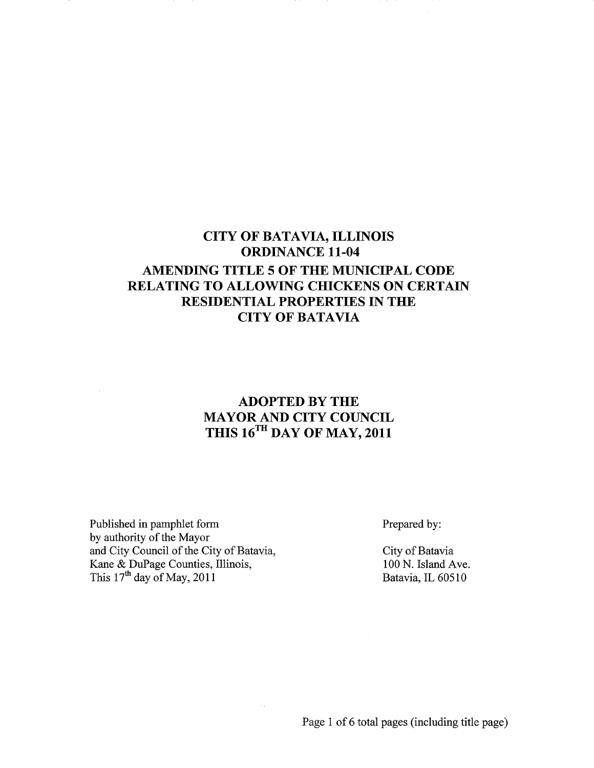## **CITY OF BATAVIA, ILLINOIS ORDINANCE 11-04 AMENDING TITLE 5 OF THE MUNICIPAL CODE RELATING TO ALLOWING CHICKENS ON CERTAIN RESIDENTIAL PROPERTIES IN THE** CITY OF BATAVIA

### **ADOPTED BY THE MAYOR AND CITY COUNCIL THIS 16TH DAY OF MAY, 2011**

Published in pamphlet form by authority of the Mayor and City Council of the City of Batavia, Kane & DuPage Counties, Illinois, This  $17<sup>th</sup>$  day of May, 2011

Prepared by:

City of Batavia 100 N. Island Ave. Batavia, IL 60510

Page 1 of 6 total pages (including title page)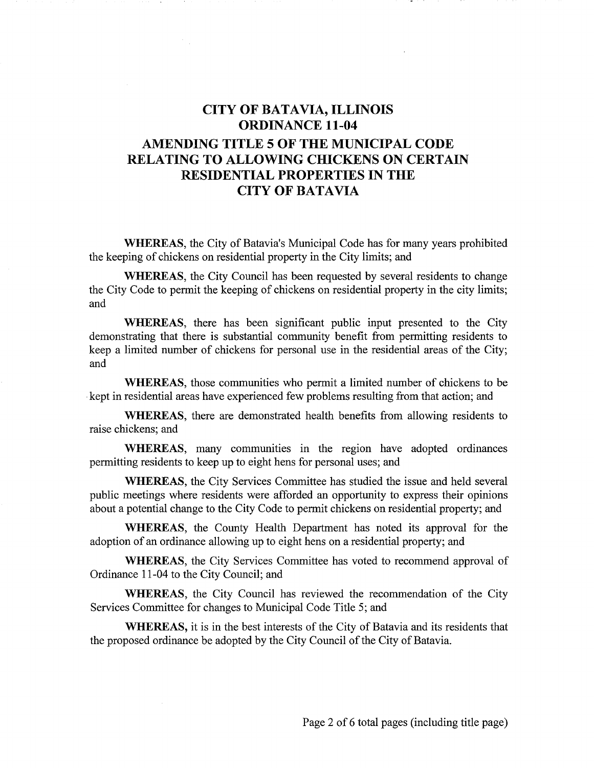## **CITY OF BATAVIA, ILLINOIS ORDINANCE 11-04 AMENDING TITLE 5 OF THE MUNICIPAL CODE RELATING TO ALLOWING CHICKENS ON CERTAIN RESIDENTIAL PROPERTIES IN THE** CITY OF BATAVIA

**WHEREAS,** the City of Batavia's Municipal Code has for many years prohibited the keeping of chickens on residential property in the City limits; and

**WHEREAS,** the City Council has been requested by several residents to change the City Code to permit the keeping of chickens on residential property in the city limits; and

**WHEREAS,** there has been significant public input presented to the City demonstrating that there is substantial community benefit from permitting residents to keep a limited number of chickens for personal use in the residential areas of the City; and

**WHEREAS,** those communities who permit a limited number of chickens to be .kept in residential areas have experienced few problems resulting from that action; and

**WHEREAS,** there are demonstrated health benefits from allowing residents to raise chickens; and

**WHEREAS,** many communities in the region have adopted ordinances permitting residents to keep up to eight hens for personal uses; and

**WHEREAS,** the City Services Committee has studied the issue and held several public meetings where residents were afforded an opportunity to express their opinions about a potential change to the City Code to permit chickens on residential property; and

**WHEREAS,** the County Health Department has noted its approval for the adoption of an ordinance allowing up to eight hens on a residential property; and

**WHEREAS,** the City Services Committee has voted to recommend approval of Ordinance 11-04 to the City Council; and

**WHEREAS,** the City Council has reviewed the recommendation of the City Services Committee for changes to Municipal Code Title 5; and

**WHEREAS,** it is in the best interests of the City of Batavia and its residents that the proposed ordinance be adopted by the City Council of the City of Batavia.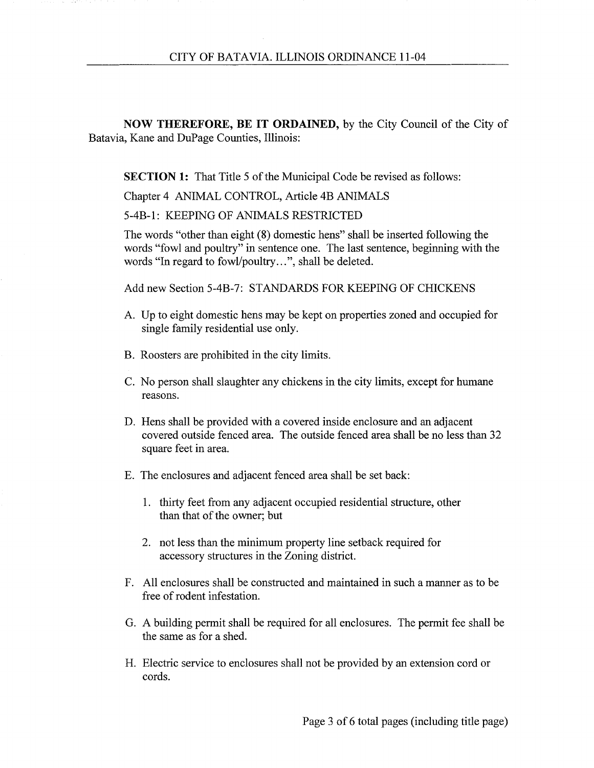**NOW THEREFORE, BE IT ORDAINED,** by the City Council of the City of Batavia, Kane and DuPage Counties, Illinois:

**SECTION 1:** That Title 5 of the Municipal Code be revised as follows:

Chapter 4 ANIMAL CONTROL, Article 4B ANIMALS

5-4B-l: KEEPING OF ANIMALS RESTRICTED

The words "other than eight (8) domestic hens" shall be inserted following the words "fowl and poultry" in sentence one. The last sentence, beginning with the words "In regard to fowl/poultry...", shall be deleted.

Add new Section 5-4B-7: STANDARDS FOR KEEPING OF CHICKENS

- A. Up to eight domestic hens may be kept on properties zoned and occupied for single family residential use only.
- B. Roosters are prohibited in the city limits.
- C. No person shall slaughter any chickens in the city limits, except for humane reasons.
- D. Hens shall be provided with a covered inside enclosure and an adjacent covered outside fenced area. The outside fenced area shall be no less than 32 square feet in area.
- E. The enclosures and adjacent fenced area shall be set back:
	- 1. thirty feet from any adjacent occupied residential structure, other than that of the owner; but
	- 2. not less than the minimum property line setback required for accessory structures in the Zoning district.
- F. All enclosures shall be constructed and maintained in such a manner as to be free of rodent infestation.
- G. A building permit shall be required for all enclosures. The permit fee shall be the same as for a shed.
- H. Electric service to enclosures shall not be provided by an extension cord or cords.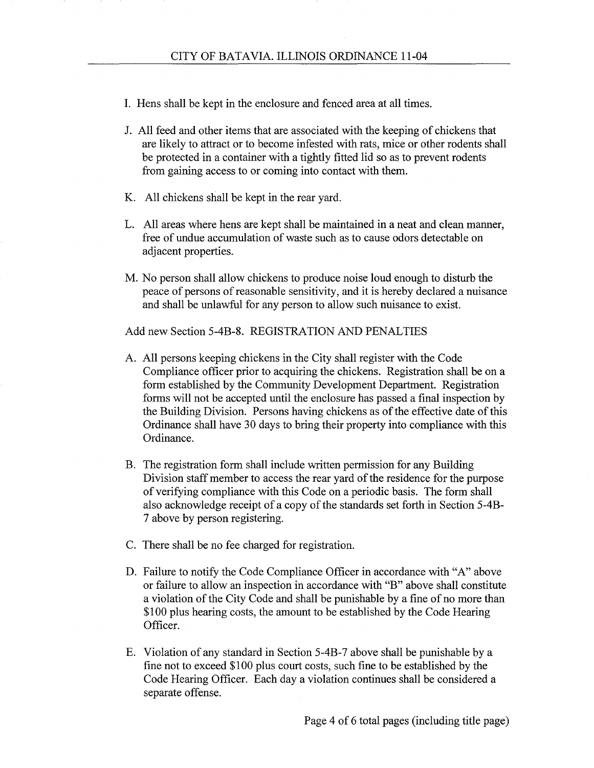- 1. Hens shall be kept in the enclosure and fenced area at all times.
- J. All feed and other items that are associated with the keeping of chickens that are likely to attract or to become infested with rats, mice or other rodents shall be protected in a container with a tightly fitted lid so as to prevent rodents from gaining access to or coming into contact with them.
- K. All chickens shall be kept in the rear yard.
- L. All areas where hens are kept shall be maintained in a neat and clean manner, free of undue accumulation of waste such as to cause odors detectable on adjacent properties.
- M. No person shall allow chickens to produce noise loud enough to disturb the peace of persons of reasonable sensitivity, and it is hereby declared a nuisance and shall be unlawful for any person to allow such nuisance to exist.

Add new Section 5-4B-8. REGISTRATION AND PENALTIES

- A. All persons keeping chickens in the City shall register with the Code Compliance officer prior to acquiring the chickens. Registration shall be on a form established by the Community Development Department. Registration forms will not be accepted until the enclosure has passed a final inspection by the Building Division. Persons having chickens as of the effective date of this Ordinance shall have 30 days to bring their property into compliance with this Ordinance.
- B. The registration form shall include written permission for any Building Division staff member to access the rear yard of the residence for the purpose of verifying compliance with this Code on a periodic basis. The form shall also acknowledge receipt of a copy of the standards set forth in Section 5-4B-7 above by person registering.
- C. There shall be no fee charged for registration.
- D. Failure to notify the Code Compliance Officer in accordance with "A" above or failure to allow an inspection in accordance with "B" above shall constitute a violation of the City Code and shall be punishable by a fine of no more than \$100 plus hearing costs, the amount to be established by the Code Hearing Officer.
- E. Violation of any standard in Section 5-4B-7 above shall be punishable by a fine not to exceed \$100 plus court costs, such fine to be established by the Code Hearing Officer. Each day a violation continues shall be considered a separate offense.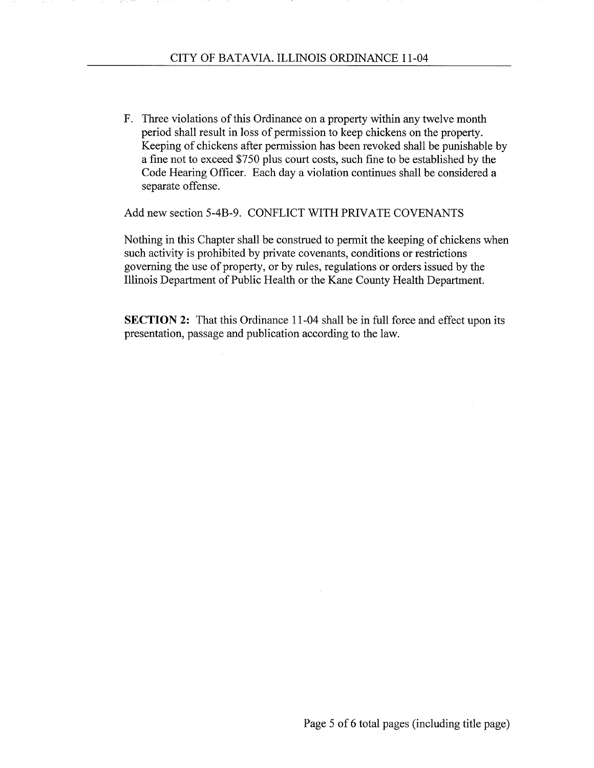F. Three violations of this Ordinance on a property within any twelve month period shall result in loss of permission to keep chickens on the property. Keeping of chickens after permission has been revoked shall be punishable by a fine not to exceed \$750 plus court costs, such fine to be established by the Code Hearing Officer. Each day a violation continues shall be considered a separate offense.

Add new section 5-4B-9. CONFLICT WITH PRIVATE COVENANTS

Nothing in this Chapter shall be construed to permit the keeping of chickens when such activity is prohibited by private covenants, conditions or restrictions governing the use of property, or by rules, regulations or orders issued by the Illinois Department of Public Health or the Kane County Health Department.

**SECTION 2:** That this Ordinance 11-04 shall be in full force and effect upon its presentation, passage and publication according to the law.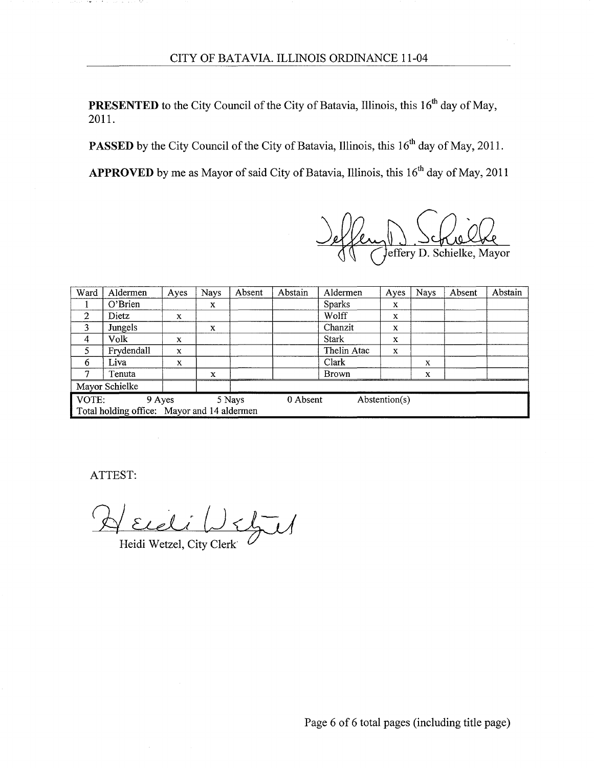**PRESENTED** to the City Council of the City of Batavia, Illinois, this 16<sup>th</sup> day of May, 2011.

**PASSED** by the City Council of the City of Batavia, Illinois, this 16<sup>th</sup> day of May, 2011.

**APPROVED** by me as Mayor of said City of Batavia, Illinois, this 16<sup>th</sup> day of May, 2011

effery D. Schrielke, Mayor

| Ward                                                   | Aldermen   | Ayes        | <b>Nays</b> | Absent | Abstain | Aldermen      | Ayes        | <b>Nays</b> | Absent | Abstain |
|--------------------------------------------------------|------------|-------------|-------------|--------|---------|---------------|-------------|-------------|--------|---------|
|                                                        | O'Brien    |             | X           |        |         | <b>Sparks</b> | x           |             |        |         |
| 2                                                      | Dietz      | X           |             |        |         | Wolff         | $\mathbf x$ |             |        |         |
| 3                                                      | Jungels    |             | X           |        |         | Chanzit       | X           |             |        |         |
| 4                                                      | Volk       | x           |             |        |         | <b>Stark</b>  | x           |             |        |         |
| 5                                                      | Frydendall | X           |             |        |         | Thelin Atac   | X           |             |        |         |
| 6                                                      | Liva       | $\mathbf x$ |             |        |         | Clark         |             | x           |        |         |
| ⇁                                                      | Tenuta     |             | X           |        |         | <b>Brown</b>  |             | x           |        |         |
| Mayor Schielke                                         |            |             |             |        |         |               |             |             |        |         |
| VOTE:<br>Abstention(s)<br>0 Absent<br>9 Ayes<br>5 Nays |            |             |             |        |         |               |             |             |        |         |
| Total holding office: Mayor and 14 aldermen            |            |             |             |        |         |               |             |             |        |         |

ATTEST:

**START START** 

and care and the

 $\overline{L}/$ 

Heidi Wetzel, City Clerk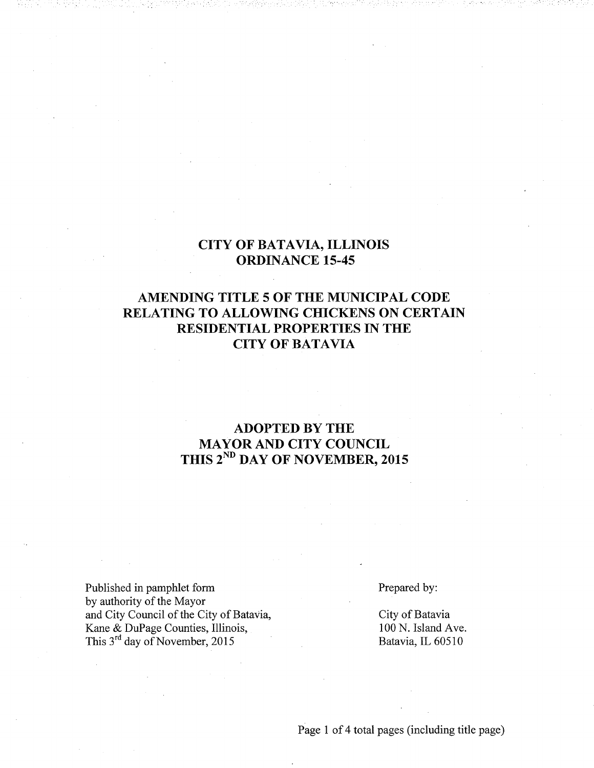#### **CITY OF BATAVIA, ILLINOIS ORDINANCE 15-45**

### AMENDING TITLE 5 OF THE MUNICIPAL CODE RELATING TO ALLOWING CHICKENS ON CERTAIN **RESIDENTIAL PROPERTIES IN THE CITY OF BATAVIA**

### **ADOPTED BY THE MAYOR AND CITY COUNCIL** THIS 2<sup>ND</sup> DAY OF NOVEMBER, 2015

Published in pamphlet form by authority of the Mayor and City Council of the City of Batavia, Kane & DuPage Counties, Illinois, This 3<sup>rd</sup> day of November, 2015

Prepared by:

City of Batavia 100 N. Island Ave. Batavia, IL 60510

Page 1 of 4 total pages (including title page)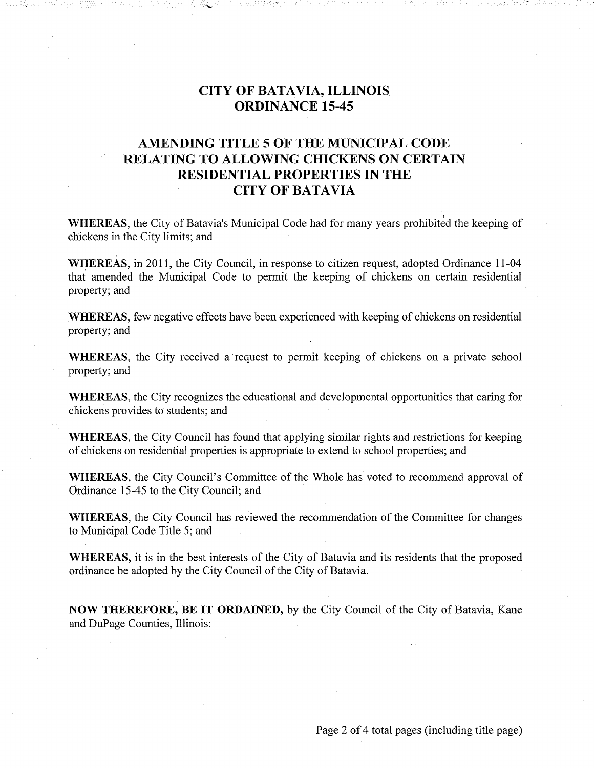### **CITY OF BATAVIA, ILLINOIS ORDINANCE 15-45**

### AMENDING TITLE 5 OF THE MUNICIPAL CODE **RELATING TO ALLOWING CHICKENS ON CERTAIN RESIDENTIAL PROPERTIES IN THE CITY OF BATAVIA**

**WHEREAS**, the City of Batavia's Municipal Code had for many years prohibited the keeping of chickens in the City limits; and

WHEREAS, in 2011, the City Council, in response to citizen request, adopted Ordinance 11-04 that amended the Municipal Code to permit the keeping of chickens on certain residential property; and

**WHEREAS**, few negative effects have been experienced with keeping of chickens on residential property; and

WHEREAS, the City received a request to permit keeping of chickens on a private school property; and

WHEREAS, the City recognizes the educational and developmental opportunities that caring for chickens provides to students; and

**WHEREAS**, the City Council has found that applying similar rights and restrictions for keeping of chickens on residential properties is appropriate to extend to school properties; and

**WHEREAS**, the City Council's Committee of the Whole has voted to recommend approval of Ordinance 15-45 to the City Council; and

**WHEREAS**, the City Council has reviewed the recommendation of the Committee for changes to Municipal Code Title 5; and

WHEREAS, it is in the best interests of the City of Batavia and its residents that the proposed ordinance be adopted by the City Council of the City of Batavia.

NOW THEREFORE, BE IT ORDAINED, by the City Council of the City of Batavia, Kane and DuPage Counties, Illinois:

Page 2 of 4 total pages (including title page)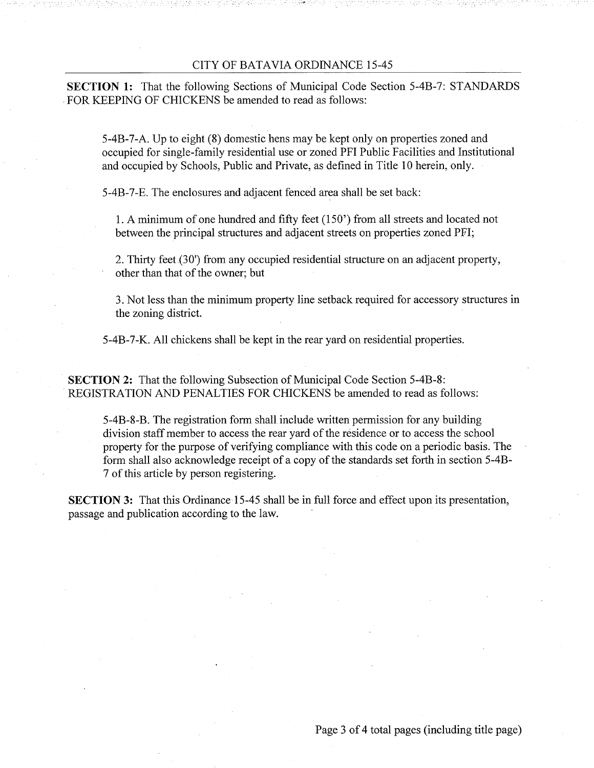#### CITY OF BATAVIA ORDINANCE 15-45

**SECTION 1:** That the following Sections of Municipal Code Section 5-4B-7: STANDARDS FOR KEEPING OF CHICKENS be amended to read as follows:

5-4B-7-A. Up to eight (8) domestic hens may be kept only on properties zoned and occupied for single-family residential use or zoned PFI Public Facilities and Institutional and occupied by Schools, Public and Private, as defined in Title 10 herein, only.

5-4B-7-E. The enclosures and adjacent fenced area shall be set back:

1. A minimum of one hundred and fifty feet (150') from all streets and located not between the principal structures and adjacent streets on properties zoned PFI;

2. Thirty feet (30') from any occupied residential structure on an adjacent property, other than that of the owner; but

3. Not less than the minimum property line setback required for accessory structures in the zoning district.

5-4B-7-K. All chickens shall be kept in the rear yard on residential properties.

**SECTION 2:** That the following Subsection of Municipal Code Section 5-4B-8: REGISTRATION AND PENALTIES FOR CHICKENS be amended to read as follows:

5-4B-8-B. The registration form shall include written permission for any building division staff member to access the rear yard of the residence or to access the school property for the purpose of verifying compliance with this code on a periodic basis. The form shall also acknowledge receipt of a copy of the standards set forth in section 5-4B-7 of this article by person registering.

**SECTION 3:** That this Ordinance 15-45 shall be in full force and effect upon its presentation, passage and publication according to the law.

Page 3 of 4 total pages (including title page)